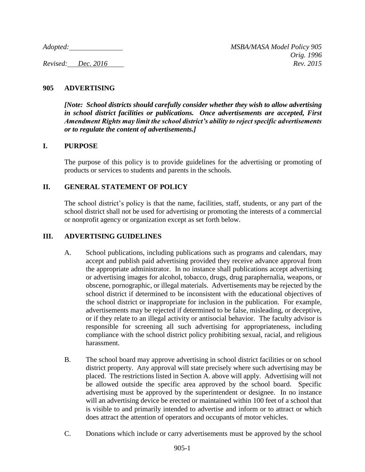## **905 ADVERTISING**

*[Note: School districts should carefully consider whether they wish to allow advertising in school district facilities or publications. Once advertisements are accepted, First Amendment Rights may limit the school district's ability to reject specific advertisements or to regulate the content of advertisements.]*

### **I. PURPOSE**

The purpose of this policy is to provide guidelines for the advertising or promoting of products or services to students and parents in the schools.

## **II. GENERAL STATEMENT OF POLICY**

The school district's policy is that the name, facilities, staff, students, or any part of the school district shall not be used for advertising or promoting the interests of a commercial or nonprofit agency or organization except as set forth below.

## **III. ADVERTISING GUIDELINES**

- A. School publications, including publications such as programs and calendars, may accept and publish paid advertising provided they receive advance approval from the appropriate administrator. In no instance shall publications accept advertising or advertising images for alcohol, tobacco, drugs, drug paraphernalia, weapons, or obscene, pornographic, or illegal materials. Advertisements may be rejected by the school district if determined to be inconsistent with the educational objectives of the school district or inappropriate for inclusion in the publication. For example, advertisements may be rejected if determined to be false, misleading, or deceptive, or if they relate to an illegal activity or antisocial behavior. The faculty advisor is responsible for screening all such advertising for appropriateness, including compliance with the school district policy prohibiting sexual, racial, and religious harassment.
- B. The school board may approve advertising in school district facilities or on school district property. Any approval will state precisely where such advertising may be placed. The restrictions listed in Section A. above will apply. Advertising will not be allowed outside the specific area approved by the school board. Specific advertising must be approved by the superintendent or designee. In no instance will an advertising device be erected or maintained within 100 feet of a school that is visible to and primarily intended to advertise and inform or to attract or which does attract the attention of operators and occupants of motor vehicles.
- C. Donations which include or carry advertisements must be approved by the school